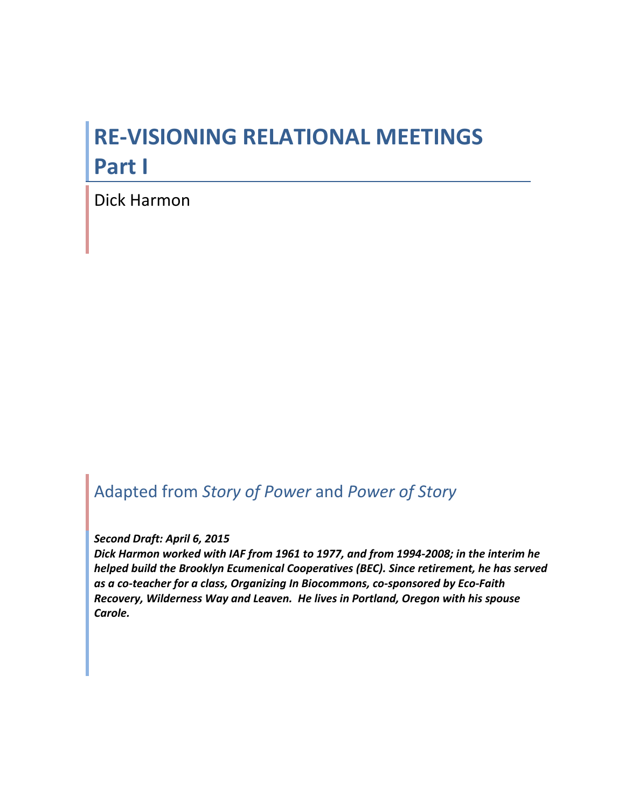# **RE-VISIONING RELATIONAL MEETINGS Part I**

Dick Harmon

# Adapted%from%*Story&of&Power*%and%*Power&of&Story*

#### Second Draft: April 6, 2015

Dick Harmon worked with IAF from 1961 to 1977, and from 1994-2008; in the interim he *helped build the Brooklyn Ecumenical Cooperatives (BEC). Since retirement, he has served* as a co-teacher for a class, Organizing In Biocommons, co-sponsored by Eco-Faith *Recovery,'Wilderness'Way'and'Leaven.''He'lives'in'Portland,'Oregon'with'his'spouse' Carole.*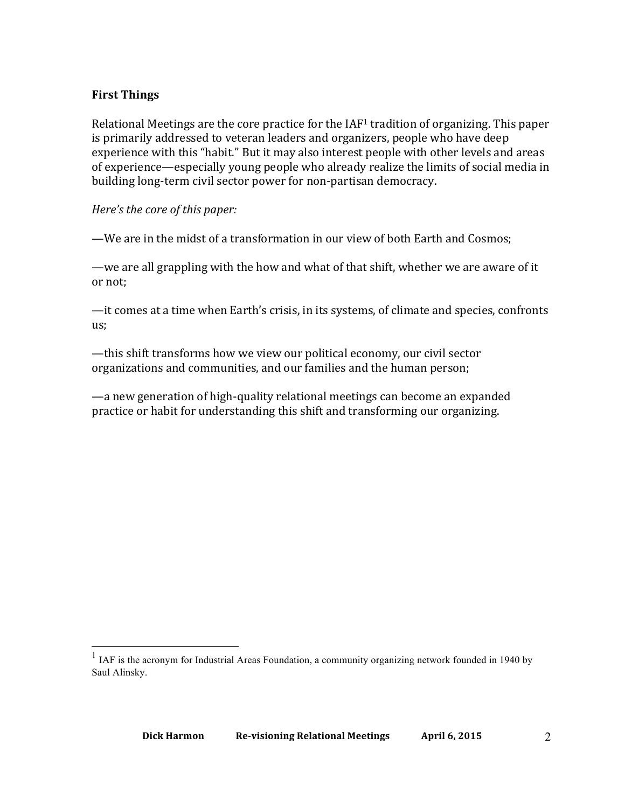#### **First%Things**

Relational Meetings are the core practice for the  $IAF<sup>1</sup>$  tradition of organizing. This paper is primarily addressed to veteran leaders and organizers, people who have deep experience with this "habit." But it may also interest people with other levels and areas of experience—especially young people who already realize the limits of social media in building long-term civil sector power for non-partisan democracy.

#### *Here's the core of this paper:*

—We are in the midst of a transformation in our view of both Earth and Cosmos;

—we are all grappling with the how and what of that shift, whether we are aware of it or not;

—it comes at a time when Earth's crisis, in its systems, of climate and species, confronts us;

—this shift transforms how we view our political economy, our civil sector organizations and communities, and our families and the human person;

—a new generation of high-quality relational meetings can become an expanded practice or habit for understanding this shift and transforming our organizing.

<sup>&</sup>lt;sup>1</sup> IAF is the acronym for Industrial Areas Foundation, a community organizing network founded in 1940 by Saul Alinsky.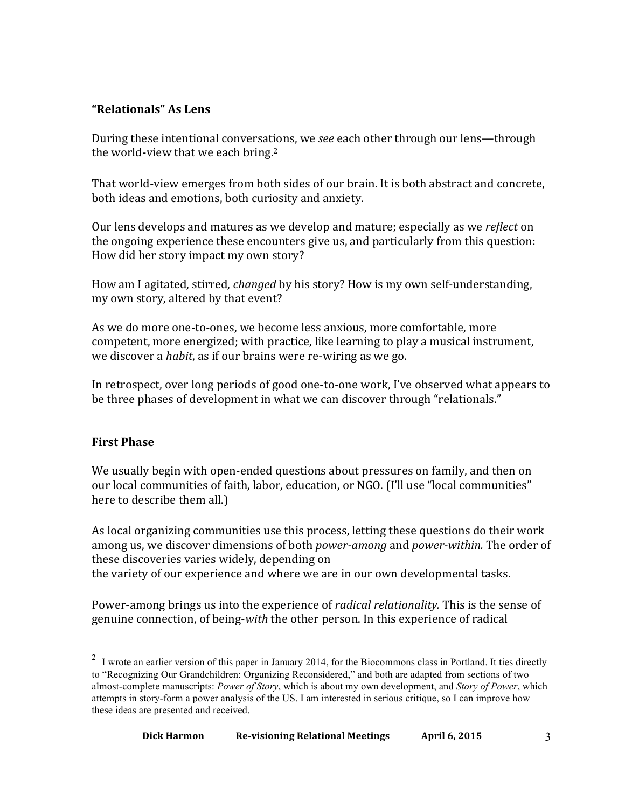## **"Relationals"%As%Lens**

During these intentional conversations, we *see* each other through our lens—through the world-view that we each bring.<sup>2</sup>

That world-view emerges from both sides of our brain. It is both abstract and concrete, both ideas and emotions, both curiosity and anxiety.

Our lens develops and matures as we develop and mature; especially as we *reflect* on the ongoing experience these encounters give us, and particularly from this question: How did her story impact my own story?

How am I agitated, stirred, *changed* by his story? How is my own self-understanding, my own story, altered by that event?

As we do more one-to-ones, we become less anxious, more comfortable, more competent, more energized; with practice, like learning to play a musical instrument, we discover a *habit*, as if our brains were re-wiring as we go.

In retrospect, over long periods of good one-to-one work, I've observed what appears to be three phases of development in what we can discover through "relationals."

### **First Phase**

We usually begin with open-ended questions about pressures on family, and then on our local communities of faith, labor, education, or NGO. (I'll use "local communities" here to describe them all.)

As local organizing communities use this process, letting these questions do their work among us, we discover dimensions of both *power-among* and *power-within*. The order of these discoveries varies widely, depending on the variety of our experience and where we are in our own developmental tasks.

Power-among brings us into the experience of *radical relationality*. This is the sense of genuine connection, of being-*with* the other person. In this experience of radical

<sup>&</sup>lt;sup>2</sup> I wrote an earlier version of this paper in January 2014, for the Biocommons class in Portland. It ties directly to "Recognizing Our Grandchildren: Organizing Reconsidered," and both are adapted from sections of two almost-complete manuscripts: *Power of Story*, which is about my own development, and *Story of Power*, which attempts in story-form a power analysis of the US. I am interested in serious critique, so I can improve how these ideas are presented and received.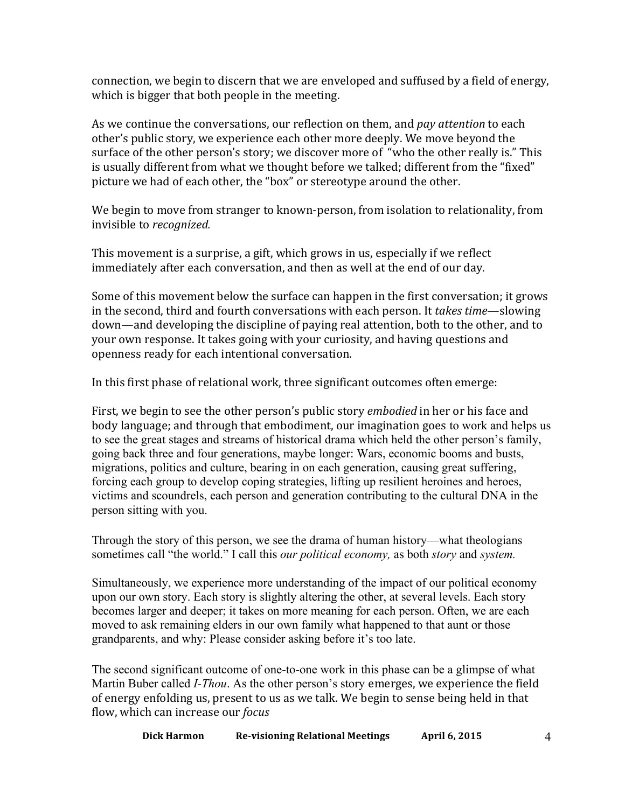connection, we begin to discern that we are enveloped and suffused by a field of energy, which is bigger that both people in the meeting.

As we continue the conversations, our reflection on them, and *pay attention* to each other's public story, we experience each other more deeply. We move beyond the surface of the other person's story; we discover more of "who the other really is." This is usually different from what we thought before we talked; different from the "fixed" picture we had of each other, the "box" or stereotype around the other.

We begin to move from stranger to known-person, from isolation to relationality, from invisible to *recognized*.

This movement is a surprise, a gift, which grows in us, especially if we reflect immediately after each conversation, and then as well at the end of our day.

Some of this movement below the surface can happen in the first conversation; it grows in the second, third and fourth conversations with each person. It *takes time*—slowing down—and developing the discipline of paying real attention, both to the other, and to your own response. It takes going with your curiosity, and having questions and openness ready for each intentional conversation.

In this first phase of relational work, three significant outcomes often emerge:

First, we begin to see the other person's public story *embodied* in her or his face and body language; and through that embodiment, our imagination goes to work and helps us to see the great stages and streams of historical drama which held the other person's family, going back three and four generations, maybe longer: Wars, economic booms and busts, migrations, politics and culture, bearing in on each generation, causing great suffering, forcing each group to develop coping strategies, lifting up resilient heroines and heroes, victims and scoundrels, each person and generation contributing to the cultural DNA in the person sitting with you.

Through the story of this person, we see the drama of human history—what theologians sometimes call "the world." I call this *our political economy,* as both *story* and *system.*

Simultaneously, we experience more understanding of the impact of our political economy upon our own story. Each story is slightly altering the other, at several levels. Each story becomes larger and deeper; it takes on more meaning for each person. Often, we are each moved to ask remaining elders in our own family what happened to that aunt or those grandparents, and why: Please consider asking before it's too late.

The second significant outcome of one-to-one work in this phase can be a glimpse of what Martin Buber called *I-Thou*. As the other person's story emerges, we experience the field of energy enfolding us, present to us as we talk. We begin to sense being held in that flow,!which!can!increase!our!*focus*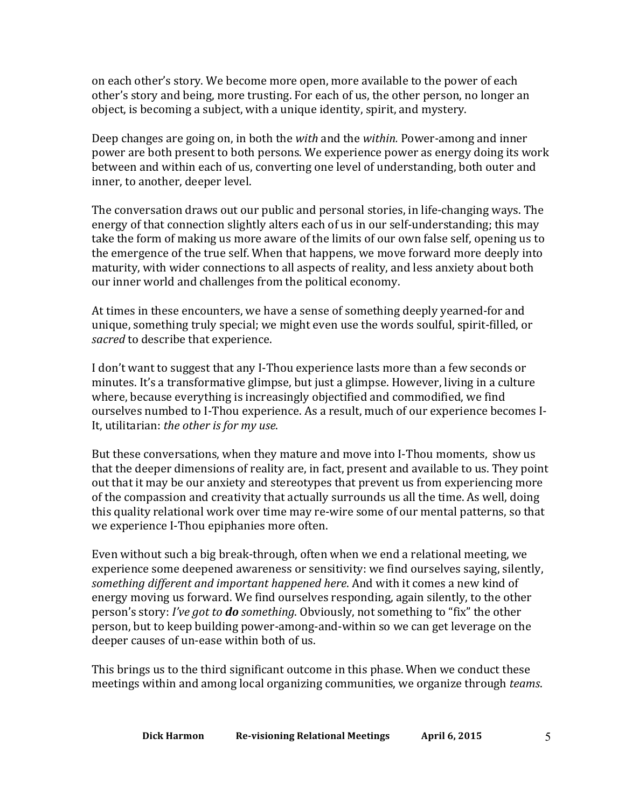on each other's story. We become more open, more available to the power of each other's story and being, more trusting. For each of us, the other person, no longer an object, is becoming a subject, with a unique identity, spirit, and mystery.

Deep changes are going on, in both the *with* and the *within*. Power-among and inner power are both present to both persons. We experience power as energy doing its work between and within each of us, converting one level of understanding, both outer and inner, to another, deeper level.

The conversation draws out our public and personal stories, in life-changing ways. The energy of that connection slightly alters each of us in our self-understanding; this may take the form of making us more aware of the limits of our own false self, opening us to the emergence of the true self. When that happens, we move forward more deeply into maturity, with wider connections to all aspects of reality, and less anxiety about both our inner world and challenges from the political economy.

At times in these encounters, we have a sense of something deeply yearned-for and unique, something truly special; we might even use the words soulful, spirit-filled, or *sacred* to describe that experience.

I don't want to suggest that any I-Thou experience lasts more than a few seconds or minutes. It's a transformative glimpse, but just a glimpse. However, living in a culture where, because everything is increasingly objectified and commodified, we find ourselves numbed to I-Thou experience. As a result, much of our experience becomes I-It, utilitarian: *the other is for my use*.

But these conversations, when they mature and move into I-Thou moments, show us that the deeper dimensions of reality are, in fact, present and available to us. They point out that it may be our anxiety and stereotypes that prevent us from experiencing more of the compassion and creativity that actually surrounds us all the time. As well, doing this quality relational work over time may re-wire some of our mental patterns, so that we experience I-Thou epiphanies more often.

Even without such a big break-through, often when we end a relational meeting, we experience some deepened awareness or sensitivity: we find ourselves saying, silently, something different and important happened here. And with it comes a new kind of energy moving us forward. We find ourselves responding, again silently, to the other person's story: *I've got to do something*. Obviously, not something to "fix" the other person, but to keep building power-among-and-within so we can get leverage on the deeper causes of un-ease within both of us.

This brings us to the third significant outcome in this phase. When we conduct these meetings within and among local organizing communities, we organize through *teams*.